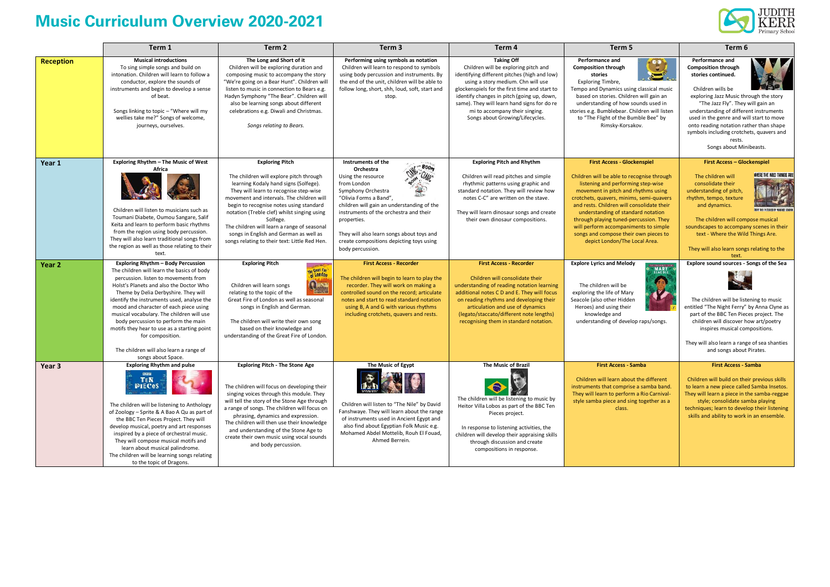## **Music Curriculum Overview 2020-2021**



|                   | Term 1                                                                                                                                                                                                                                                                                                                                                                                                                                                                                                                      | Term 2                                                                                                                                                                                                                                                                                                                                                                                                                                            | Term <sub>3</sub>                                                                                                                                                                                                                                                                                                                                            | Term 4                                                                                                                                                                                                                                                                                                                                                             | Term 5                                                                                                                                                                                                                                                                                                                                                                                                                                                     | Term 6                                                                                                                                                                                                                                                                                                                                                                                           |
|-------------------|-----------------------------------------------------------------------------------------------------------------------------------------------------------------------------------------------------------------------------------------------------------------------------------------------------------------------------------------------------------------------------------------------------------------------------------------------------------------------------------------------------------------------------|---------------------------------------------------------------------------------------------------------------------------------------------------------------------------------------------------------------------------------------------------------------------------------------------------------------------------------------------------------------------------------------------------------------------------------------------------|--------------------------------------------------------------------------------------------------------------------------------------------------------------------------------------------------------------------------------------------------------------------------------------------------------------------------------------------------------------|--------------------------------------------------------------------------------------------------------------------------------------------------------------------------------------------------------------------------------------------------------------------------------------------------------------------------------------------------------------------|------------------------------------------------------------------------------------------------------------------------------------------------------------------------------------------------------------------------------------------------------------------------------------------------------------------------------------------------------------------------------------------------------------------------------------------------------------|--------------------------------------------------------------------------------------------------------------------------------------------------------------------------------------------------------------------------------------------------------------------------------------------------------------------------------------------------------------------------------------------------|
| <b>Reception</b>  | <b>Musical introductions</b><br>To sing simple songs and build on<br>intonation. Children will learn to follow a<br>conductor, explore the sounds of<br>instruments and begin to develop a sense<br>of beat.<br>Songs linking to topic - "Where will my<br>wellies take me?" Songs of welcome,<br>journeys, ourselves.                                                                                                                                                                                                      | The Long and Short of it<br>Children will be exploring duration and<br>composing music to accompany the story<br>"We're going on a Bear Hunt". Children will<br>listen to music in connection to Bears e.g.<br>Hadyn Symphony "The Bear". Children will<br>also be learning songs about different<br>celebrations e.g. Diwali and Christmas.<br>Songs relating to Bears.                                                                          | Performing using symbols as notation<br>Children will learn to respond to symbols<br>using body percussion and instruments. By<br>the end of the unit, children will be able to<br>follow long, short, shh, loud, soft, start and<br>stop.                                                                                                                   | <b>Taking Off</b><br>Children will be exploring pitch and<br>identifying different pitches (high and low)<br>using a story medium. Chn will use<br>glockenspiels for the first time and start to<br>identify changes in pitch (going up, down,<br>same). They will learn hand signs for do re<br>mi to accompany their singing.<br>Songs about Growing/Lifecycles. | <b>Performance and</b><br>$\ddot{\cdot}$<br><b>Composition through</b><br>stories<br>Exploring Timbre,<br>Tempo and Dynamics using classical music<br>based on stories. Children will gain an<br>understanding of how sounds used in<br>stories e.g. Bumblebear. Children will listen<br>to "The Flight of the Bumble Bee" by<br>Rimsky-Korsakov.                                                                                                          | <b>Performance and</b><br><b>Composition through</b><br>stories continued.<br>Children wills be<br>exploring Jazz Music through the story<br>"The Jazz Fly". They will gain an<br>understanding of different instruments<br>used in the genre and will start to move<br>onto reading notation rather than shape<br>symbols including crotchets, quavers and<br>rests.<br>Songs about Minibeasts. |
| Year 1            | Exploring Rhythm - The Music of West<br>Africa<br>Children will listen to musicians such as<br>Toumani Diabete, Oumou Sangare, Salif<br>Keita and learn to perform basic rhythms<br>from the region using body percussion.<br>They will also learn traditional songs from<br>the region as well as those relating to their<br>text.                                                                                                                                                                                         | <b>Exploring Pitch</b><br>The children will explore pitch through<br>learning Kodaly hand signs (Solfege).<br>They will learn to recognise step-wise<br>movement and intervals. The children will<br>begin to recognise notes using standard<br>notation (Treble clef) whilst singing using<br>Solfege.<br>The children will learn a range of seasonal<br>songs in English and German as well as<br>songs relating to their text: Little Red Hen. | Instruments of the<br><b>CAMP BOOM</b><br>Orchestra<br>Using the resource<br>from London<br>Symphony Orchestra<br>"Olivia Forms a Band",<br>children will gain an understanding of the<br>instruments of the orchestra and their<br>properties.<br>They will also learn songs about toys and<br>create compositions depicting toys using<br>body percussion. | <b>Exploring Pitch and Rhythm</b><br>Children will read pitches and simple<br>rhythmic patterns using graphic and<br>standard notation. They will review how<br>notes C-C" are written on the stave.<br>They will learn dinosaur songs and create<br>their own dinosaur compositions.                                                                              | <b>First Access - Glockenspiel</b><br>Children will be able to recognise through<br>listening and performing step-wise<br>movement in pitch and rhythms using<br>crotchets, quavers, minims, semi-quavers<br>and rests. Children will consolidate their<br>understanding of standard notation<br>through playing tuned-percussion. They<br>will perform accompaniments to simple<br>songs and compose their own pieces to<br>depict London/The Local Area. | <b>First Access - Glockenspiel</b><br>WHERE THE WILD THINGS AT<br>The children will<br>consolidate their<br>understanding of pitch,<br>rhythm, tempo, texture<br>and dynamics.<br>The children will compose musical<br>soundscapes to accompany scenes in their<br>text - Where the Wild Things Are.<br>They will also learn songs relating to the<br>text.                                      |
| Year <sub>2</sub> | Exploring Rhythm - Body Percussion<br>The children will learn the basics of body<br>percussion. listen to movements from<br>Holst's Planets and also the Doctor Who<br>Theme by Delia Derbyshire. They will<br>identify the instruments used, analyse the<br>mood and character of each piece using<br>musical vocabulary. The children will use<br>body percussion to perform the main<br>motifs they hear to use as a starting point<br>for composition.<br>The children will also learn a range of<br>songs about Space. | <b>Exploring Pitch</b><br>The Great Fire<br>Que<br>Children will learn songs<br>relating to the topic of the<br>Great Fire of London as well as seasonal<br>songs in English and German.<br>The children will write their own song<br>based on their knowledge and<br>understanding of the Great Fire of London.                                                                                                                                  | <b>First Access - Recorder</b><br>The children will begin to learn to play the<br>recorder. They will work on making a<br>controlled sound on the record; articulate<br>notes and start to read standard notation<br>using B, A and G with various rhythms<br>including crotchets, quavers and rests.                                                        | <b>First Access - Recorder</b><br>Children will consolidate their<br>understanding of reading notation learning<br>additional notes C D and E. They will focus<br>on reading rhythms and developing their<br>articulation and use of dynamics<br>(legato/staccato/different note lengths)<br>recognising them in standard notation.                                | <b>Explore Lyrics and Melody</b><br>MARY<br>SEACOLE<br>The children will be<br>exploring the life of Mary<br>Seacole (also other Hidden<br>Heroes) and using their<br>knowledge and<br>understanding of develop raps/songs.                                                                                                                                                                                                                                | Explore sound sources - Songs of the Sea<br>The children will be listening to music<br>entitled "The Night Ferry" by Anna Clyne as<br>part of the BBC Ten Pieces project. The<br>children will discover how art/poetry<br>inspires musical compositions.<br>They will also learn a range of sea shanties<br>and songs about Pirates.                                                             |
| Year 3            | <b>Exploring Rhythm and pulse</b><br>886<br><b>TEN</b><br><b>PIECeS</b><br>The children will be listening to Anthology<br>of Zoology - Sprite & A Bao A Qu as part of<br>the BBC Ten Pieces Project. They will<br>develop musical, poetry and art responses<br>inspired by a piece of orchestral music.<br>They will compose musical motifs and<br>learn about musical palindrome.<br>The children will be learning songs relating<br>to the topic of Dragons.                                                              | <b>Exploring Pitch - The Stone Age</b><br>The children will focus on developing their<br>singing voices through this module. They<br>will tell the story of the Stone Age through<br>a range of songs. The children will focus on<br>phrasing, dynamics and expression.<br>The children will then use their knowledge<br>and understanding of the Stone Age to<br>create their own music using vocal sounds<br>and body percussion.               | The Music of Egypt<br>Children will listen to "The Nile" by David<br>Fanshwaye. They will learn about the range<br>of instruments used in Ancient Egypt and<br>also find about Egyptian Folk Music e.g.<br>Mohamed Abdel Mottelib, Rouh El Fouad,<br>Ahmed Berrein.                                                                                          | The Music of Brazil<br>The children will be listening to music by<br>Heitor Villa Lobos as part of the BBC Ten<br>Pieces project.<br>In response to listening activities, the<br>children will develop their appraising skills<br>through discussion and create<br>compositions in response.                                                                       | <b>First Access - Samba</b><br>Children will learn about the different<br>instruments that comprise a samba band.<br>They will learn to perform a Rio Carnival-<br>style samba piece and sing together as a<br>class.                                                                                                                                                                                                                                      | <b>First Access - Samba</b><br>Children will build on their previous skills<br>to learn a new piece called Samba Insetos<br>They will learn a piece in the samba-reggae<br>style; consolidate samba playing<br>techniques; learn to develop their listening<br>skills and ability to work in an ensemble.                                                                                        |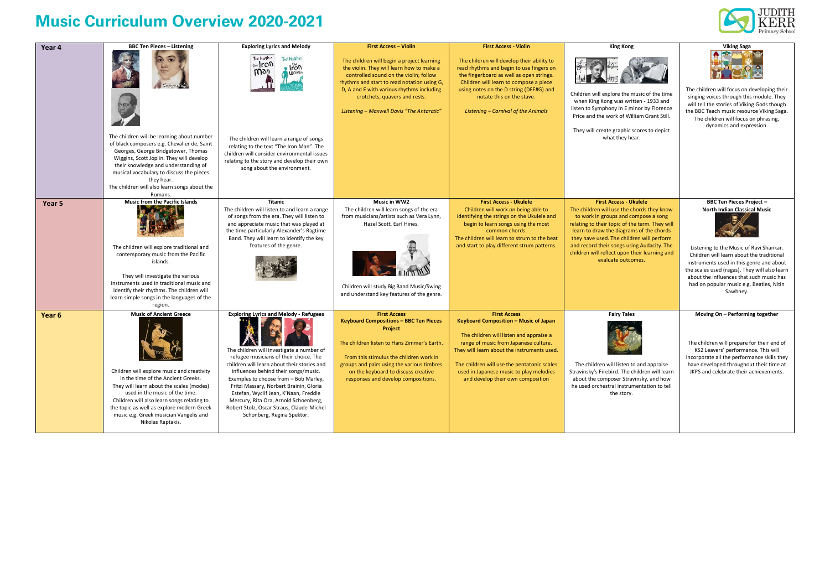## **Music Curriculum Overview 2020-2021**



| Year 4 | <b>BBC Ten Pieces - Listening</b>                                                                                                                                                                                                                                                                                                                          | <b>Exploring Lyrics and Melody</b>                                                                                                                                                                                                                                                                                                                                                                                                                                           | <b>First Access - Violin</b>                                                                                                                                                                                                                                                                                 | <b>First Access - Violin</b>                                                                                                                                                                                                                                                                                                   | <b>King Kong</b>                                                                                                                                                                                                                                                                                                                                                                    | Viking Saga                                                                                                                                                                                                                                                                                                                                              |
|--------|------------------------------------------------------------------------------------------------------------------------------------------------------------------------------------------------------------------------------------------------------------------------------------------------------------------------------------------------------------|------------------------------------------------------------------------------------------------------------------------------------------------------------------------------------------------------------------------------------------------------------------------------------------------------------------------------------------------------------------------------------------------------------------------------------------------------------------------------|--------------------------------------------------------------------------------------------------------------------------------------------------------------------------------------------------------------------------------------------------------------------------------------------------------------|--------------------------------------------------------------------------------------------------------------------------------------------------------------------------------------------------------------------------------------------------------------------------------------------------------------------------------|-------------------------------------------------------------------------------------------------------------------------------------------------------------------------------------------------------------------------------------------------------------------------------------------------------------------------------------------------------------------------------------|----------------------------------------------------------------------------------------------------------------------------------------------------------------------------------------------------------------------------------------------------------------------------------------------------------------------------------------------------------|
|        | <b>ISS</b><br>The children will be learning about number                                                                                                                                                                                                                                                                                                   | Ted Hughes<br><b>Ted Hughes</b><br>the Iron<br>$\cdot$ Iron<br><b>Wgù</b><br><b>U</b> loman<br>The children will learn a range of songs                                                                                                                                                                                                                                                                                                                                      | The children will begin a project learning<br>the violin. They will learn how to make a<br>controlled sound on the violin; follow<br>rhythms and start to read notation using G,<br>D, A and E with various rhythms including<br>crotchets, quavers and rests.<br>Listening - Maxwell Davis "The Antarctic"  | The children will develop their ability to<br>read rhythms and begin to use fingers on<br>the fingerboard as well as open strings.<br>Children will learn to compose a piece<br>using notes on the D string (DEF#G) and<br>notate this on the stave.<br>Listening - Carnival of the Animals                                    | Children will explore the music of the time<br>when King Kong was written - 1933 and<br>listen to Symphony in E minor by Florence<br>Price and the work of William Grant Still.<br>They will create graphic scores to depict<br>what they hear.                                                                                                                                     | The children will focus on developing their<br>singing voices through this module. They<br>will tell the stories of Viking Gods though<br>the BBC Teach music resource Viking Saga<br>The children will focus on phrasing,<br>dynamics and expression.                                                                                                   |
|        | of black composers e.g. Chevalier de, Saint<br>Georges, George Bridgetower, Thomas<br>Wiggins, Scott Joplin. They will develop<br>their knowledge and understanding of<br>musical vocabulary to discuss the pieces<br>they hear.<br>The children will also learn songs about the<br>Romans.                                                                | relating to the text "The Iron Man". The<br>children will consider environmental issues<br>relating to the story and develop their own<br>song about the environment.                                                                                                                                                                                                                                                                                                        |                                                                                                                                                                                                                                                                                                              |                                                                                                                                                                                                                                                                                                                                |                                                                                                                                                                                                                                                                                                                                                                                     |                                                                                                                                                                                                                                                                                                                                                          |
| Year 5 | <b>Music from the Pacific Islands</b><br>The children will explore traditional and<br>contemporary music from the Pacific<br>islands.<br>They will investigate the various<br>instruments used in traditional music and<br>identify their rhythms. The children will<br>learn simple songs in the languages of the<br>region.                              | <b>Titanic</b><br>The children will listen to and learn a range<br>of songs from the era. They will listen to<br>and appreciate music that was played at<br>the time particularly Alexander's Ragtime<br>Band. They will learn to identify the key<br>features of the genre.                                                                                                                                                                                                 | Music in WW2<br>The children will learn songs of the era<br>from musicians/artists such as Vera Lynn,<br>Hazel Scott, Earl Hines.<br>Children will study Big Band Music/Swing<br>and understand key features of the genre.                                                                                   | <b>First Access - Ukulele</b><br>Children will work on being able to<br>identifying the strings on the Ukulele and<br>begin to learn songs using the most<br>common chords.<br>The children will learn to strum to the beat<br>and start to play different strum patterns.                                                     | <b>First Access - Ukulele</b><br>The children will use the chords they know<br>to work in groups and compose a song<br>relating to their topic of the term. They will<br>learn to draw the diagrams of the chords<br>they have used. The children will perform<br>and record their songs using Audacity. The<br>children will reflect upon their learning and<br>evaluate outcomes. | <b>BBC Ten Pieces Project -</b><br>North Indian Classical Music<br>Listening to the Music of Ravi Shankar.<br>Children will learn about the traditional<br>instruments used in this genre and about<br>the scales used (ragas). They will also learn<br>about the influences that such music has<br>had on popular music e.g. Beatles, Nitin<br>Sawhney. |
| Year 6 | <b>Music of Ancient Greece</b><br>Children will explore music and creativity<br>in the time of the Ancient Greeks.<br>They will learn about the scales (modes)<br>used in the music of the time.<br>Children will also learn songs relating to<br>the topic as well as explore modern Greek<br>music e.g. Greek musician Vangelis and<br>Nikolas Raptakis. | <b>Exploring Lyrics and Melody - Refugees</b><br>The children will investigate a number of<br>refugee musicians of their choice. The<br>children will learn about their stories and<br>influences behind their songs/music.<br>Examples to choose from - Bob Marley,<br>Fritzi Massary, Norbert Brainin, Gloria<br>Estefan, Wyclif Jean, K'Naan, Freddie<br>Mercury, Rita Ora, Arnold Schoenberg,<br>Robert Stolz, Oscar Straus, Claude-Michel<br>Schonberg, Regina Spektor. | <b>First Access</b><br><b>Keyboard Compositions - BBC Ten Pieces</b><br><b>Project</b><br>The children listen to Hans Zimmer's Earth.<br>From this stimulus the children work in<br>groups and pairs using the various timbres<br>on the keyboard to discuss creative<br>responses and develop compositions. | <b>First Access</b><br>Keyboard Composition - Music of Japan<br>The children will listen and appraise a<br>range of music from Japanese culture.<br>They will learn about the instruments used.<br>The children will use the pentatonic scales<br>used in Japanese music to play melodies<br>and develop their own composition | <b>Fairy Tales</b><br>The children will listen to and appraise<br>Stravinsky's Firebird. The children will learn<br>about the composer Stravinsky, and how<br>he used orchestral instrumentation to tell<br>the story.                                                                                                                                                              | Moving On - Performing together<br>The children will prepare for their end of<br>KS2 Leavers' performance. This will<br>incorporate all the performance skills they<br>have developed throughout their time at<br>JKPS and celebrate their achievements.                                                                                                 |